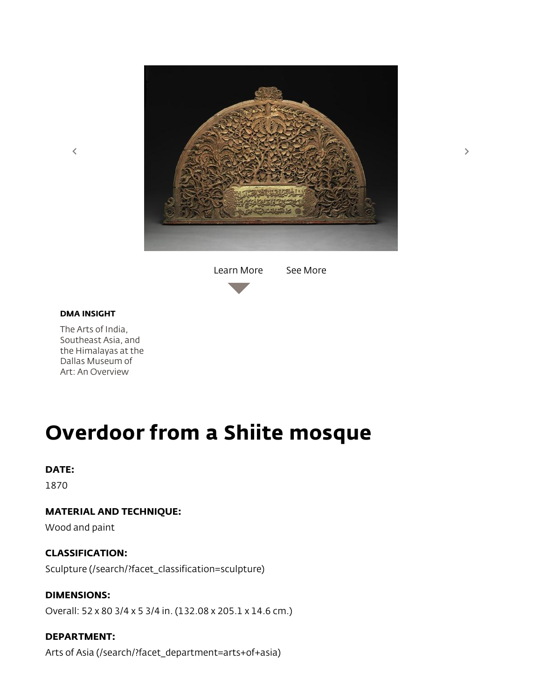

[Learn More](javascript:void(0);) [See More](javascript:void(0);)



The Arts of India, Southeast Asia, and [the Himalayas at the](https://collections.dma.org/essay/QVaY5aEL) Dallas Museum of Art: An Overview

# Overdoor from a Shiite mosque

#### DATE:

1870

## MATERIAL AND TECHNIQUE:

Wood and paint

#### CLASSIFICATION:

[Sculpture \(/search/?facet\\_classification=sculpture\)](https://collections.dma.org/search/?facet_classification=sculpture)

#### DIMENSIONS:

Overall: 52 x 80 3/4 x 5 3/4 in. (132.08 x 205.1 x 14.6 cm.)

### DEPARTMENT:

[Arts of Asia \(/search/?facet\\_department=arts+of+asia\)](https://collections.dma.org/search/?facet_department=arts+of+asia)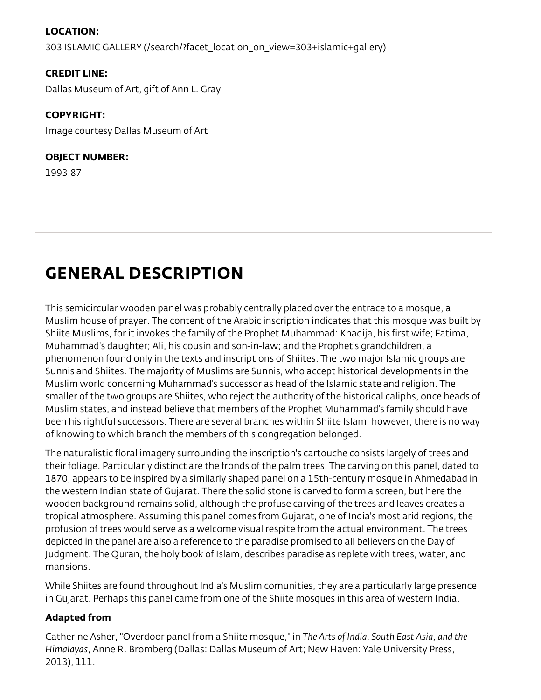## LOCATION:

[303 ISLAMIC GALLERY \(/search/?facet\\_location\\_on\\_view=303+islamic+gallery\)](https://collections.dma.org/search/?facet_location_on_view=303+islamic+gallery)

#### CREDIT LINE:

Dallas Museum of Art, gift of Ann L. Gray

#### COPYRIGHT:

Image courtesy Dallas Museum of Art

#### OBJECT NUMBER:

1993.87

# GENERAL DESCRIPTION

This semicircular wooden panel was probably centrally placed over the entrace to a mosque, a Muslim house of prayer. The content of the Arabic inscription indicates that this mosque was built by Shiite Muslims, for it invokes the family of the Prophet Muhammad: Khadija, his first wife; Fatima, Muhammad's daughter; Ali, his cousin and son-in-law; and the Prophet's grandchildren, a phenomenon found only in the texts and inscriptions of Shiites. The two major Islamic groups are Sunnis and Shiites. The majority of Muslims are Sunnis, who accept historical developments in the Muslim world concerning Muhammad's successor as head of the Islamic state and religion. The smaller of the two groups are Shiites, who reject the authority of the historical caliphs, once heads of Muslim states, and instead believe that members of the Prophet Muhammad's family should have been his rightful successors. There are several branches within Shiite Islam; however, there is no way of knowing to which branch the members of this congregation belonged.

The naturalistic floral imagery surrounding the inscription's cartouche consists largely of trees and their foliage. Particularly distinct are the fronds of the palm trees. The carving on this panel, dated to 1870, appears to be inspired by a similarly shaped panel on a 15th-century mosque in Ahmedabad in the western Indian state of Gujarat. There the solid stone is carved to form a screen, but here the wooden background remains solid, although the profuse carving of the trees and leaves creates a tropical atmosphere. Assuming this panel comes from Gujarat, one of India's most arid regions, the profusion of trees would serve as a welcome visual respite from the actual environment. The trees depicted in the panel are also a reference to the paradise promised to all believers on the Day of Judgment. The Quran, the holy book of Islam, describes paradise as replete with trees, water, and mansions.

While Shiites are found throughout India's Muslim comunities, they are a particularly large presence in Gujarat. Perhaps this panel came from one of the Shiite mosques in this area of western India.

## Adapted from

Catherine Asher, "Overdoor panel from a Shiite mosque," in The Arts of India, South East Asia, and the Himalayas, Anne R. Bromberg (Dallas: Dallas Museum of Art; New Haven: Yale University Press, 2013), 111.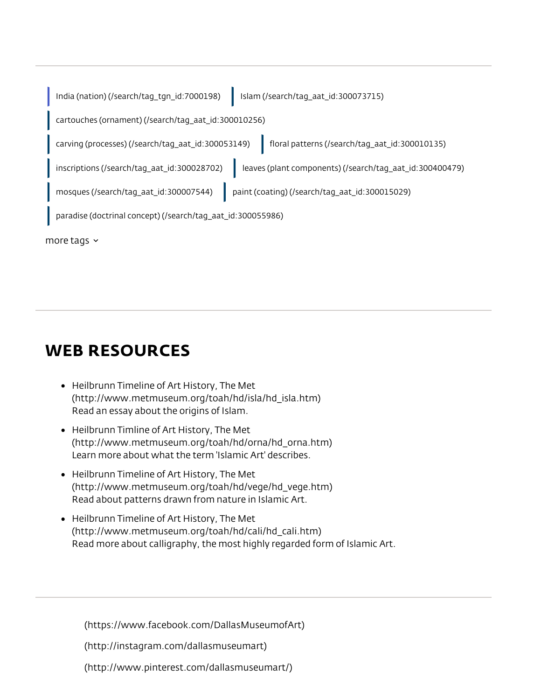|                  | India (nation) (/search/tag_tgn_id:7000198)                 | Islam (/search/taq_aat_id:300073715)                     |
|------------------|-------------------------------------------------------------|----------------------------------------------------------|
|                  | cartouches (ornament) (/search/tag_aat_id:300010256)        |                                                          |
|                  | carving (processes) (/search/tag_aat_id:300053149)          | floral patterns (/search/tag_aat_id:300010135)           |
|                  | inscriptions (/search/tag_aat_id:300028702)                 | leaves (plant components) (/search/tag_aat_id:300400479) |
|                  | mosques (/search/tag_aat_id:300007544)                      | paint (coating) (/search/tag_aat_id:300015029)           |
|                  | paradise (doctrinal concept) (/search/tag_aat_id:300055986) |                                                          |
| more tags $\sim$ |                                                             |                                                          |

# WEB RESOURCES

- Heilbrunn Timeline of Art History, The Met [\(http://www.metmuseum.org/toah/hd/isla/hd\\_isla.htm\)](http://www.metmuseum.org/toah/hd/isla/hd_isla.htm) Read an essay about the origins of Islam.
- Heilbrunn Timline of Art History, The Met [\(http://www.metmuseum.org/toah/hd/orna/hd\\_orna.htm\)](http://www.metmuseum.org/toah/hd/orna/hd_orna.htm) Learn more about what the term 'Islamic Art' describes.
- Heilbrunn Timeline of Art History, The Met [\(http://www.metmuseum.org/toah/hd/vege/hd\\_vege.htm\)](http://www.metmuseum.org/toah/hd/vege/hd_vege.htm) Read about patterns drawn from nature in Islamic Art.
- Heilbrunn Timeline of Art History, The Met [\(http://www.metmuseum.org/toah/hd/cali/hd\\_cali.htm\)](http://www.metmuseum.org/toah/hd/cali/hd_cali.htm) Read more about calligraphy, the most highly regarded form of Islamic Art.

[\(https://www.facebook.com/DallasMuseumofArt\)](https://www.facebook.com/DallasMuseumofArt)

[\(http://instagram.com/dallasmuseumart\)](http://instagram.com/dallasmuseumart)

[\(http://www.pinterest.com/dallasmuseumart/\)](http://www.pinterest.com/dallasmuseumart/)